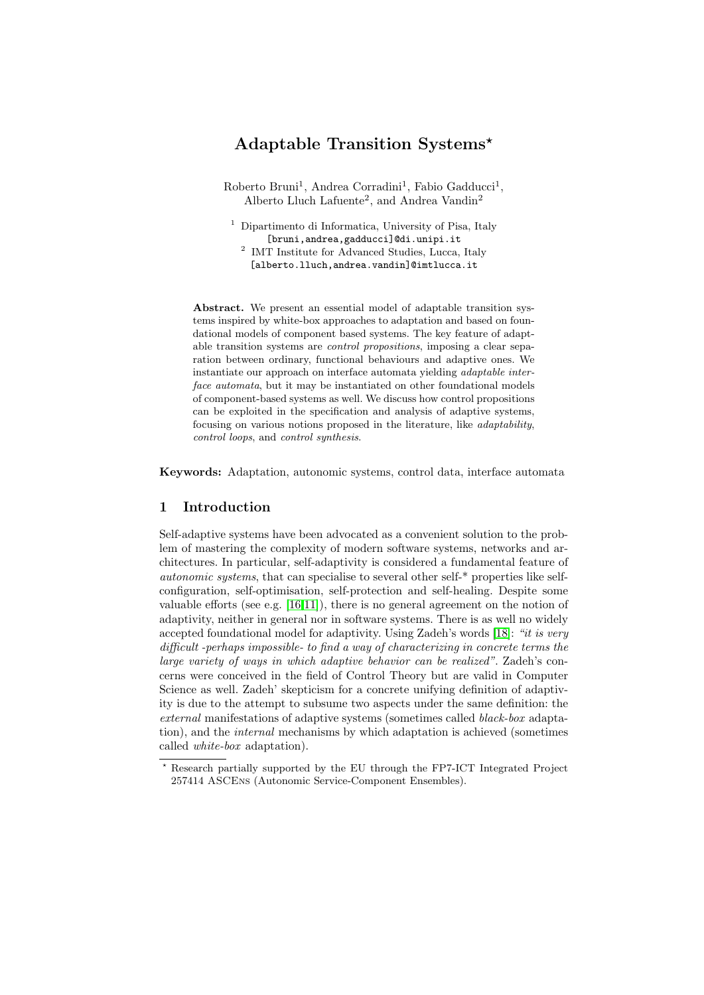# Adaptable Transition Systems?

Roberto Bruni<sup>1</sup>, Andrea Corradini<sup>1</sup>, Fabio Gadducci<sup>1</sup>, Alberto Lluch Lafuente<sup>2</sup>, and Andrea Vandin<sup>2</sup>

- <sup>1</sup> Dipartimento di Informatica, University of Pisa, Italy [bruni,andrea,gadducci]@di.unipi.it <sup>2</sup> IMT Institute for Advanced Studies, Lucca, Italy
	- [alberto.lluch,andrea.vandin]@imtlucca.it

Abstract. We present an essential model of adaptable transition systems inspired by white-box approaches to adaptation and based on foundational models of component based systems. The key feature of adaptable transition systems are control propositions, imposing a clear separation between ordinary, functional behaviours and adaptive ones. We instantiate our approach on interface automata yielding adaptable interface automata, but it may be instantiated on other foundational models of component-based systems as well. We discuss how control propositions can be exploited in the specification and analysis of adaptive systems, focusing on various notions proposed in the literature, like adaptability, control loops, and control synthesis.

Keywords: Adaptation, autonomic systems, control data, interface automata

## <span id="page-0-0"></span>1 Introduction

Self-adaptive systems have been advocated as a convenient solution to the problem of mastering the complexity of modern software systems, networks and architectures. In particular, self-adaptivity is considered a fundamental feature of autonomic systems, that can specialise to several other self-\* properties like selfconfiguration, self-optimisation, self-protection and self-healing. Despite some valuable efforts (see e.g. [\[16,](#page-15-0)[11\]](#page-15-1)), there is no general agreement on the notion of adaptivity, neither in general nor in software systems. There is as well no widely accepted foundational model for adaptivity. Using Zadeh's words [\[18\]](#page-15-2): "it is very difficult -perhaps impossible- to find a way of characterizing in concrete terms the large variety of ways in which adaptive behavior can be realized". Zadeh's concerns were conceived in the field of Control Theory but are valid in Computer Science as well. Zadeh' skepticism for a concrete unifying definition of adaptivity is due to the attempt to subsume two aspects under the same definition: the external manifestations of adaptive systems (sometimes called black-box adaptation), and the internal mechanisms by which adaptation is achieved (sometimes called white-box adaptation).

Research partially supported by the EU through the FP7-ICT Integrated Project 257414 ASCEns (Autonomic Service-Component Ensembles).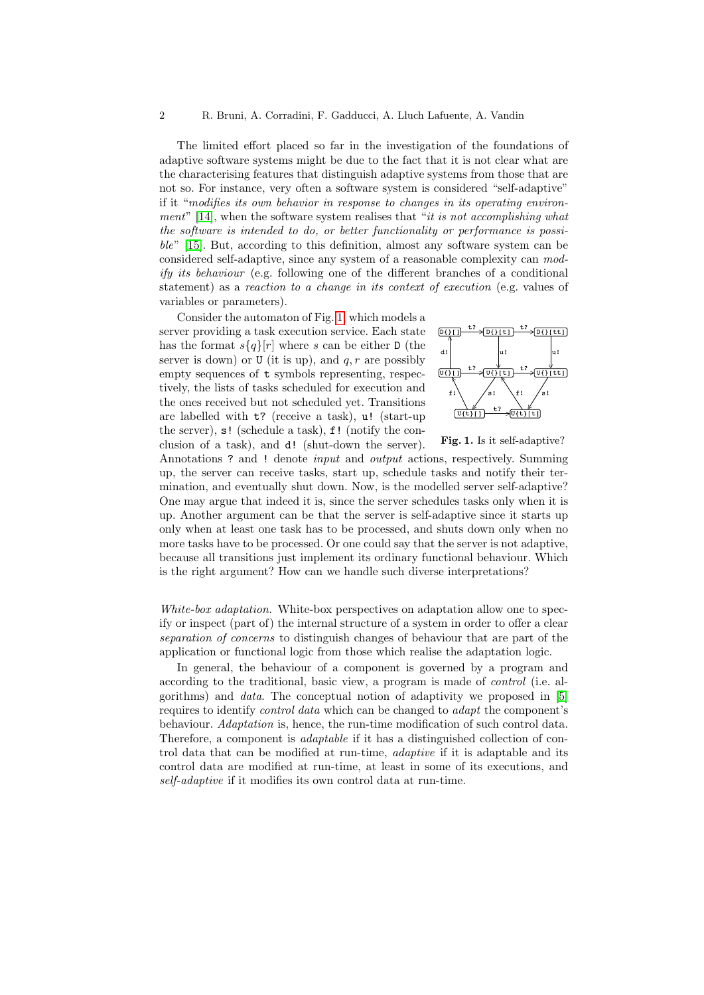The limited effort placed so far in the investigation of the foundations of adaptive software systems might be due to the fact that it is not clear what are the characterising features that distinguish adaptive systems from those that are not so. For instance, very often a software system is considered "self-adaptive" if it "modifies its own behavior in response to changes in its operating environ-ment" [\[14\]](#page-15-3), when the software system realises that "*it is not accomplishing what* the software is intended to do, or better functionality or performance is possible" [\[15\]](#page-15-4). But, according to this definition, almost any software system can be considered self-adaptive, since any system of a reasonable complexity can modify its behaviour (e.g. following one of the different branches of a conditional statement) as a reaction to a change in its context of execution (e.g. values of variables or parameters).

Consider the automaton of Fig. [1,](#page-1-0) which models a server providing a task execution service. Each state has the format  $s{q}[r]$  where s can be either D (the server is down) or U (it is up), and  $q, r$  are possibly empty sequences of t symbols representing, respectively, the lists of tasks scheduled for execution and the ones received but not scheduled yet. Transitions are labelled with t? (receive a task), u! (start-up the server), s! (schedule a task), f! (notify the conclusion of a task), and d! (shut-down the server).



<span id="page-1-0"></span>Fig. 1. Is it self-adaptive?

Annotations ? and ! denote *input* and *output* actions, respectively. Summing up, the server can receive tasks, start up, schedule tasks and notify their termination, and eventually shut down. Now, is the modelled server self-adaptive? One may argue that indeed it is, since the server schedules tasks only when it is up. Another argument can be that the server is self-adaptive since it starts up only when at least one task has to be processed, and shuts down only when no more tasks have to be processed. Or one could say that the server is not adaptive, because all transitions just implement its ordinary functional behaviour. Which is the right argument? How can we handle such diverse interpretations?

White-box adaptation. White-box perspectives on adaptation allow one to specify or inspect (part of) the internal structure of a system in order to offer a clear separation of concerns to distinguish changes of behaviour that are part of the application or functional logic from those which realise the adaptation logic.

In general, the behaviour of a component is governed by a program and according to the traditional, basic view, a program is made of control (i.e. algorithms) and data. The conceptual notion of adaptivity we proposed in [\[5\]](#page-15-5) requires to identify *control data* which can be changed to *adapt* the component's behaviour. Adaptation is, hence, the run-time modification of such control data. Therefore, a component is adaptable if it has a distinguished collection of control data that can be modified at run-time, adaptive if it is adaptable and its control data are modified at run-time, at least in some of its executions, and self-adaptive if it modifies its own control data at run-time.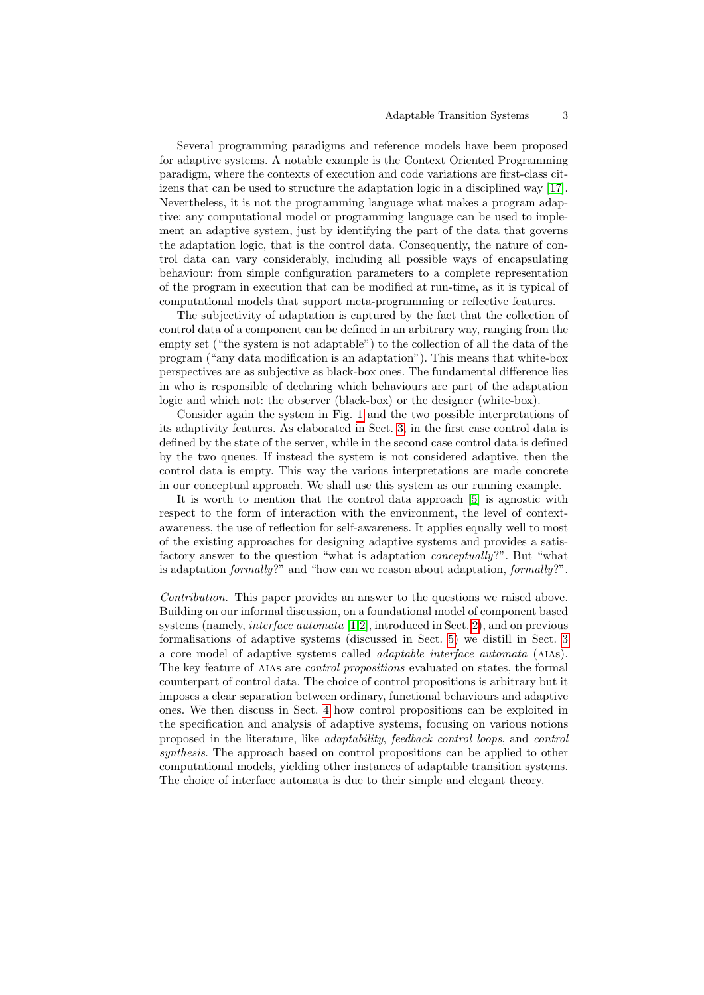Several programming paradigms and reference models have been proposed for adaptive systems. A notable example is the Context Oriented Programming paradigm, where the contexts of execution and code variations are first-class citizens that can be used to structure the adaptation logic in a disciplined way [\[17\]](#page-15-6). Nevertheless, it is not the programming language what makes a program adaptive: any computational model or programming language can be used to implement an adaptive system, just by identifying the part of the data that governs the adaptation logic, that is the control data. Consequently, the nature of control data can vary considerably, including all possible ways of encapsulating behaviour: from simple configuration parameters to a complete representation of the program in execution that can be modified at run-time, as it is typical of computational models that support meta-programming or reflective features.

The subjectivity of adaptation is captured by the fact that the collection of control data of a component can be defined in an arbitrary way, ranging from the empty set ("the system is not adaptable") to the collection of all the data of the program ("any data modification is an adaptation"). This means that white-box perspectives are as subjective as black-box ones. The fundamental difference lies in who is responsible of declaring which behaviours are part of the adaptation logic and which not: the observer (black-box) or the designer (white-box).

Consider again the system in Fig. [1](#page-1-0) and the two possible interpretations of its adaptivity features. As elaborated in Sect. [3,](#page-5-0) in the first case control data is defined by the state of the server, while in the second case control data is defined by the two queues. If instead the system is not considered adaptive, then the control data is empty. This way the various interpretations are made concrete in our conceptual approach. We shall use this system as our running example.

It is worth to mention that the control data approach [\[5\]](#page-15-5) is agnostic with respect to the form of interaction with the environment, the level of contextawareness, the use of reflection for self-awareness. It applies equally well to most of the existing approaches for designing adaptive systems and provides a satisfactory answer to the question "what is adaptation conceptually?". But "what is adaptation formally?" and "how can we reason about adaptation, formally?".

Contribution. This paper provides an answer to the questions we raised above. Building on our informal discussion, on a foundational model of component based systems (namely, *interface automata* [\[1](#page-14-0)[,2\]](#page-15-7), introduced in Sect. [2\)](#page-3-0), and on previous formalisations of adaptive systems (discussed in Sect. [5\)](#page-13-0) we distill in Sect. [3](#page-5-0) a core model of adaptive systems called adaptable interface automata (aias). The key feature of AIAs are *control propositions* evaluated on states, the formal counterpart of control data. The choice of control propositions is arbitrary but it imposes a clear separation between ordinary, functional behaviours and adaptive ones. We then discuss in Sect. [4](#page-7-0) how control propositions can be exploited in the specification and analysis of adaptive systems, focusing on various notions proposed in the literature, like adaptability, feedback control loops, and control synthesis. The approach based on control propositions can be applied to other computational models, yielding other instances of adaptable transition systems. The choice of interface automata is due to their simple and elegant theory.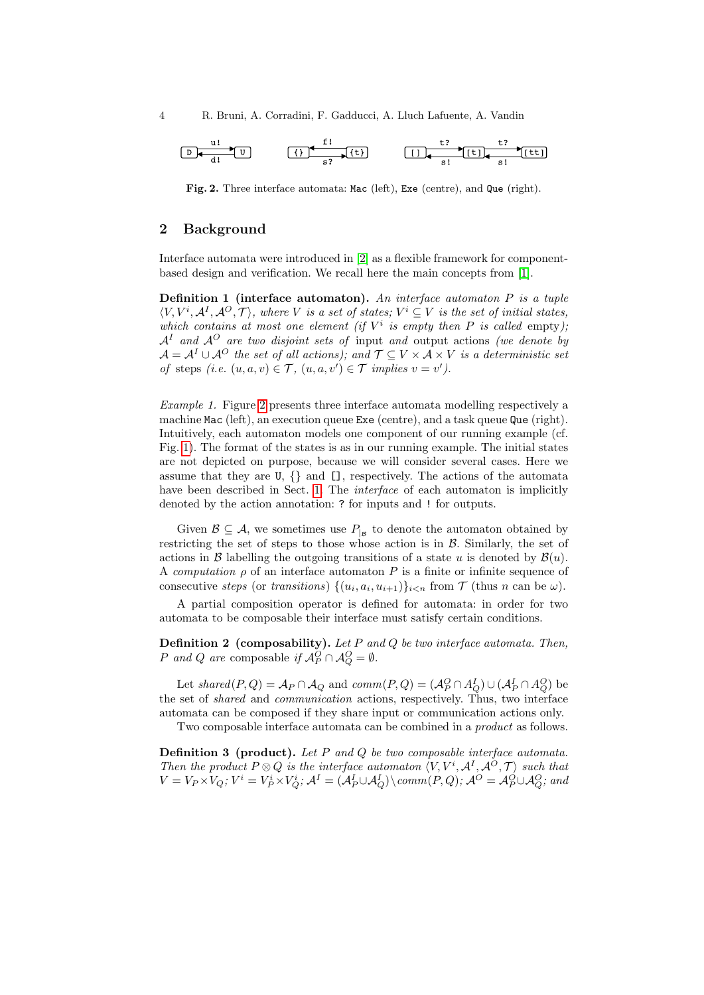4 R. Bruni, A. Corradini, F. Gadducci, A. Lluch Lafuente, A. Vandin

<span id="page-3-1"></span>Fig. 2. Three interface automata: Mac (left), Exe (centre), and Que (right).

## <span id="page-3-0"></span>2 Background

Interface automata were introduced in [\[2\]](#page-15-7) as a flexible framework for componentbased design and verification. We recall here the main concepts from [\[1\]](#page-14-0).

**Definition 1** (interface automaton). An interface automaton  $P$  is a tuple  $\langle V, V^i, A^I, A^O, \mathcal{T} \rangle$ , where V is a set of states;  $V^i \subseteq V$  is the set of initial states, which contains at most one element (if  $V^i$  is empty then P is called empty);  $A<sup>I</sup>$  and  $A<sup>O</sup>$  are two disjoint sets of input and output actions (we denote by  $\mathcal{A} = \mathcal{A}^I \cup \mathcal{A}^O$  the set of all actions); and  $\mathcal{T} \subseteq V \times \mathcal{A} \times V$  is a deterministic set of steps (i.e.  $(u, a, v) \in \mathcal{T}$ ,  $(u, a, v') \in \mathcal{T}$  implies  $v = v'$ ).

Example 1. Figure [2](#page-3-1) presents three interface automata modelling respectively a machine Mac (left), an execution queue Exe (centre), and a task queue Que (right). Intuitively, each automaton models one component of our running example (cf. Fig. [1\)](#page-1-0). The format of the states is as in our running example. The initial states are not depicted on purpose, because we will consider several cases. Here we assume that they are U, {} and [], respectively. The actions of the automata have been described in Sect. [1.](#page-0-0) The *interface* of each automaton is implicitly denoted by the action annotation: ? for inputs and ! for outputs.

Given  $\mathcal{B} \subseteq \mathcal{A}$ , we sometimes use  $P_{|\mathcal{B}|}$  to denote the automaton obtained by restricting the set of steps to those whose action is in  $\beta$ . Similarly, the set of actions in B labelling the outgoing transitions of a state u is denoted by  $\mathcal{B}(u)$ . A computation  $\rho$  of an interface automaton P is a finite or infinite sequence of consecutive *steps* (or *transitions*)  $\{(u_i, a_i, u_{i+1})\}_{i \leq n}$  from  $\mathcal T$  (thus *n* can be  $\omega$ ).

A partial composition operator is defined for automata: in order for two automata to be composable their interface must satisfy certain conditions.

**Definition 2** (composability). Let P and Q be two interface automata. Then, P and Q are composable if  $\mathcal{A}_P^O \cap \mathcal{A}_Q^O = \emptyset$ .

Let  $shared(P,Q) = A_P \cap A_Q$  and  $comm(P,Q) = (A_P^O \cap A_Q^I) \cup (A_P^I \cap A_Q^O)$  be the set of shared and communication actions, respectively. Thus, two interface automata can be composed if they share input or communication actions only.

Two composable interface automata can be combined in a product as follows.

**Definition 3 (product).** Let  $P$  and  $Q$  be two composable interface automata. Then the product  $P \otimes Q$  is the interface automaton  $\langle V, V^i, A^I, A^O, \mathcal{T} \rangle$  such that  $V=V_P\times V_Q; V^i=V_P^i\times V_Q^i;$   ${\cal A}^I=({\cal A}^I_P\cup {\cal A}^I_Q)\backslash\, comm(P,Q);$   ${\cal A}^O={\cal A}^O_P\cup {\cal A}^O_Q;$  and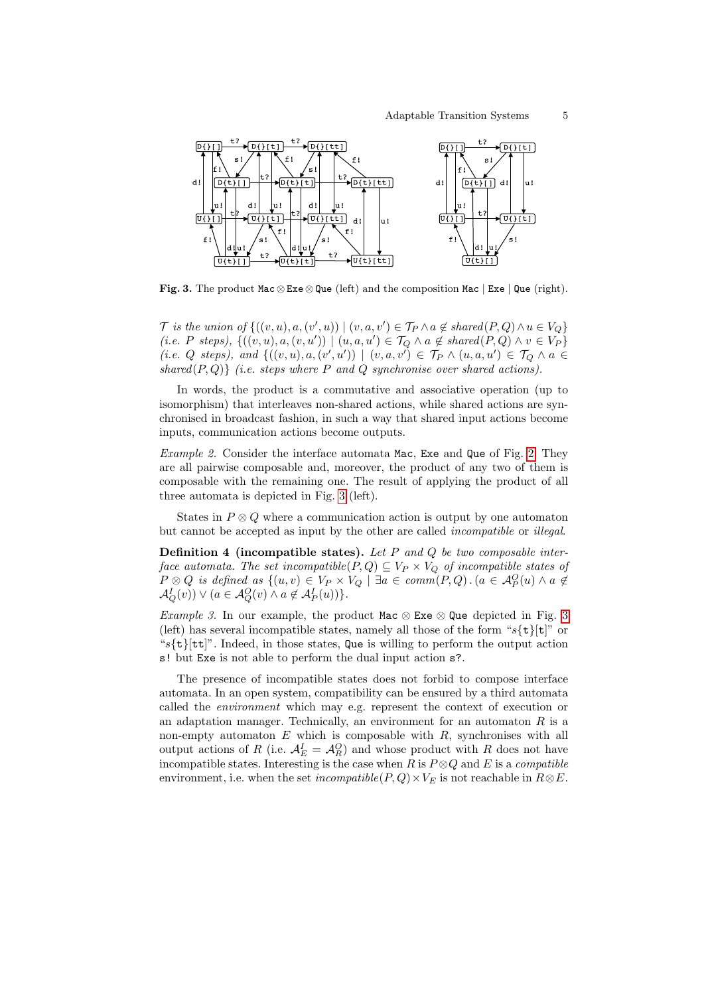

<span id="page-4-0"></span>Fig. 3. The product Mac ⊗ Exe ⊗ Que (left) and the composition Mac | Exe | Que (right).

 $\mathcal T$  is the union of  $\{((v, u), a, (v', u)) \mid (v, a, v') \in \mathcal T_P \land a \notin shared(P, Q) \land u \in V_Q\}$ (i.e. P steps),  $\{((v, u), a, (v, u')) \mid (u, a, u') \in \mathcal{T}_Q \land a \notin shared(P, Q) \land v \in V_P\}$ (i.e. Q steps), and  $\{((v, u), a, (v', u')) \mid (v, a, v') \in \mathcal{T}_P \land (u, a, u') \in \mathcal{T}_Q \land a \in$ shared $(P,Q)$  (i.e. steps where P and Q synchronise over shared actions).

In words, the product is a commutative and associative operation (up to isomorphism) that interleaves non-shared actions, while shared actions are synchronised in broadcast fashion, in such a way that shared input actions become inputs, communication actions become outputs.

Example 2. Consider the interface automata Mac, Exe and Que of Fig. [2.](#page-3-1) They are all pairwise composable and, moreover, the product of any two of them is composable with the remaining one. The result of applying the product of all three automata is depicted in Fig. [3](#page-4-0) (left).

States in  $P \otimes Q$  where a communication action is output by one automaton but cannot be accepted as input by the other are called incompatible or illegal.

**Definition 4 (incompatible states).** Let P and Q be two composable interface automata. The set incompatible(P,Q)  $\subseteq V_P \times V_Q$  of incompatible states of  $P \otimes Q$  is defined as  $\{(u, v) \in V_P \times V_Q \mid \exists a \in comm(P, Q) \cdot (a \in A_P^O(u) \land a \notin Q\})$  $\mathcal{A}_{Q}^{I}(v)$   $\vee$   $(a \in \mathcal{A}_{Q}^{O}(v) \land a \notin \mathcal{A}_{P}^{I}(u))$  }.

Example [3](#page-4-0). In our example, the product Mac  $\otimes$  Exe  $\otimes$  Que depicted in Fig. 3 (left) has several incompatible states, namely all those of the form " $s\{t\}[t]$ " or " $s\{\mathbf{t}\}$ [ $\mathbf{t}\mathbf{t}$ ]". Indeed, in those states, Que is willing to perform the output action s! but Exe is not able to perform the dual input action s?.

The presence of incompatible states does not forbid to compose interface automata. In an open system, compatibility can be ensured by a third automata called the environment which may e.g. represent the context of execution or an adaptation manager. Technically, an environment for an automaton  $R$  is a non-empty automaton  $E$  which is composable with  $R$ , synchronises with all output actions of R (i.e.  $\mathcal{A}_{E}^{I} = \mathcal{A}_{R}^{O}$ ) and whose product with R does not have incompatible states. Interesting is the case when R is  $P \otimes Q$  and E is a *compatible* environment, i.e. when the set incompatible  $(P,Q) \times V_E$  is not reachable in  $R \otimes E$ .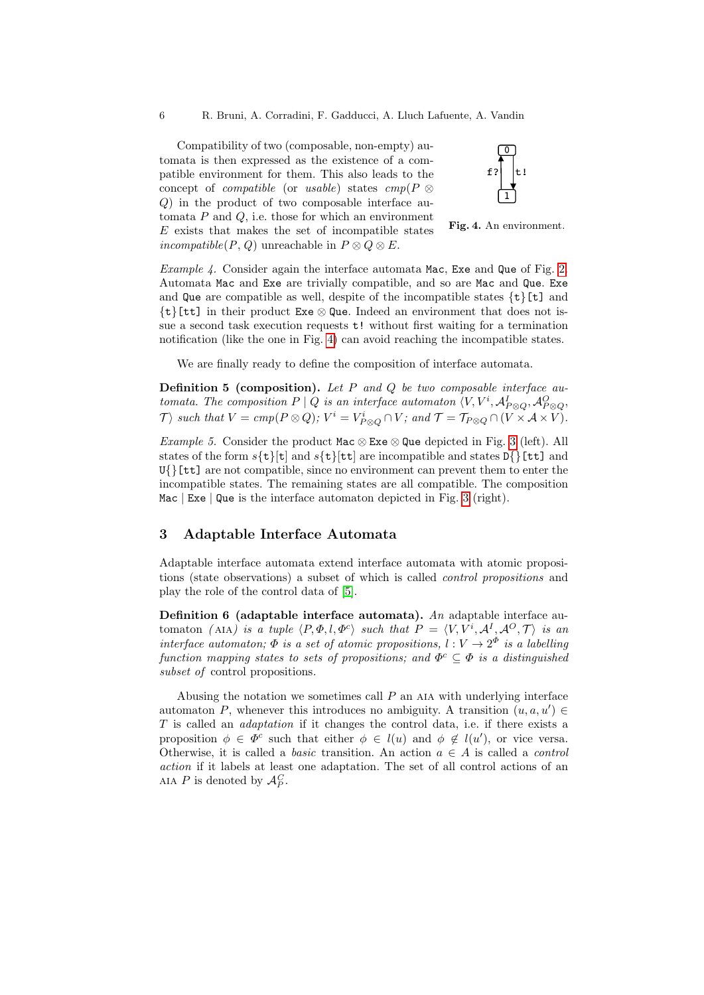Compatibility of two (composable, non-empty) automata is then expressed as the existence of a compatible environment for them. This also leads to the concept of *compatible* (or usable) states  $cmp(P \otimes$ Q) in the product of two composable interface automata  $P$  and  $Q$ , i.e. those for which an environment  $E$  exists that makes the set of incompatible states incompatible(P, Q) unreachable in  $P \otimes Q \otimes E$ .



<span id="page-5-1"></span>Fig. 4. An environment.

Example 4. Consider again the interface automata Mac, Exe and Que of Fig. [2.](#page-3-1) Automata Mac and Exe are trivially compatible, and so are Mac and Que. Exe and Que are compatible as well, despite of the incompatible states  $\{t\}$ [t] and  $\{t\}$ [tt] in their product Exe  $\otimes$  Que. Indeed an environment that does not issue a second task execution requests  $t!$  without first waiting for a termination notification (like the one in Fig. [4\)](#page-5-1) can avoid reaching the incompatible states.

We are finally ready to define the composition of interface automata.

**Definition 5 (composition).** Let  $P$  and  $Q$  be two composable interface automata. The composition  $P \mid Q$  is an interface automaton  $\langle V, V^i, A_{P\otimes Q}^I, A_{P\otimes Q}^O,$  $\mathcal{T} \rangle$  such that  $V = \text{cmp}(P \otimes Q)$ ;  $V^i = V^i_{P \otimes Q} \cap V$ ; and  $\mathcal{T} = \mathcal{T}_{P \otimes Q} \cap (V \times \mathcal{A} \times V)$ .

Example 5. Consider the product Mac  $\otimes$  Exe  $\otimes$  Que depicted in Fig. [3](#page-4-0) (left). All states of the form  $s\{\mathbf{t}\}\{\mathbf{t}\}$  and  $s\{\mathbf{t}\}\{\mathbf{t}\}$  are incompatible and states  $\mathbf{D}\{\{\mathbf{t}\}\}$  and U{}[tt] are not compatible, since no environment can prevent them to enter the incompatible states. The remaining states are all compatible. The composition Mac | Exe | Que is the interface automaton depicted in Fig. [3](#page-4-0) (right).

# <span id="page-5-0"></span>3 Adaptable Interface Automata

Adaptable interface automata extend interface automata with atomic propositions (state observations) a subset of which is called control propositions and play the role of the control data of [\[5\]](#page-15-5).

**Definition 6 (adaptable interface automata).** An adaptable interface automaton (AIA) is a tuple  $\langle P,\Phi,l,\Phi^c\rangle$  such that  $P = \langle V,V^i,\mathcal{A}^I,\mathcal{A}^O,\mathcal{T}\rangle$  is an interface automaton;  $\Phi$  is a set of atomic propositions,  $l: V \to 2^{\Phi}$  is a labelling function mapping states to sets of propositions; and  $\Phi^c \subseteq \Phi$  is a distinguished subset of control propositions.

<span id="page-5-2"></span>Abusing the notation we sometimes call  $P$  an AIA with underlying interface automaton P, whenever this introduces no ambiguity. A transition  $(u, a, u') \in$ T is called an adaptation if it changes the control data, i.e. if there exists a proposition  $\phi \in \Phi^c$  such that either  $\phi \in l(u)$  and  $\phi \notin l(u')$ , or vice versa. Otherwise, it is called a *basic* transition. An action  $a \in A$  is called a *control* action if it labels at least one adaptation. The set of all control actions of an AIA P is denoted by  $\mathcal{A}_P^C$ .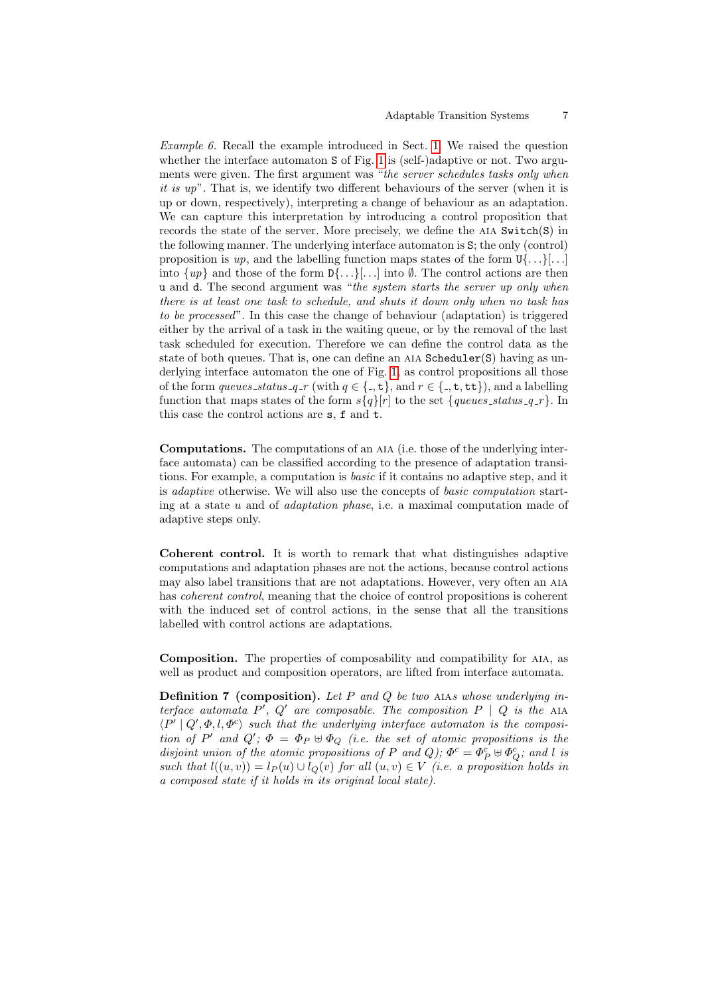Example 6. Recall the example introduced in Sect. [1.](#page-0-0) We raised the question whether the interface automaton S of Fig. [1](#page-1-0) is (self-)adaptive or not. Two arguments were given. The first argument was "the server schedules tasks only when it is up". That is, we identify two different behaviours of the server (when it is up or down, respectively), interpreting a change of behaviour as an adaptation. We can capture this interpretation by introducing a control proposition that records the state of the server. More precisely, we define the aia Switch(S) in the following manner. The underlying interface automaton is S; the only (control) proposition is up, and the labelling function maps states of the form  $\mathbb{U}\{\ldots\}[\ldots]$ into  $\{up\}$  and those of the form  $D\{\ldots\}[\ldots]$  into  $\emptyset$ . The control actions are then u and d. The second argument was "the system starts the server up only when there is at least one task to schedule, and shuts it down only when no task has to be processed". In this case the change of behaviour (adaptation) is triggered either by the arrival of a task in the waiting queue, or by the removal of the last task scheduled for execution. Therefore we can define the control data as the state of both queues. That is, one can define an AIA Scheduler(S) having as underlying interface automaton the one of Fig. [1,](#page-1-0) as control propositions all those of the form queues\_status\_q\_r (with  $q \in \{\texttt{.}, \texttt{t}\},$  and  $r \in \{\texttt{.}, \texttt{t}, \texttt{t}\}\)$ , and a labelling function that maps states of the form  $s{q}[r]$  to the set  ${queues\_status_q_r}$ . In this case the control actions are s, f and t.

Computations. The computations of an aia (i.e. those of the underlying interface automata) can be classified according to the presence of adaptation transitions. For example, a computation is basic if it contains no adaptive step, and it is adaptive otherwise. We will also use the concepts of basic computation starting at a state  $u$  and of *adaptation phase*, i.e. a maximal computation made of adaptive steps only.

Coherent control. It is worth to remark that what distinguishes adaptive computations and adaptation phases are not the actions, because control actions may also label transitions that are not adaptations. However, very often an aia has *coherent control*, meaning that the choice of control propositions is coherent with the induced set of control actions, in the sense that all the transitions labelled with control actions are adaptations.

**Composition.** The properties of composability and compatibility for AIA, as well as product and composition operators, are lifted from interface automata.

**Definition 7 (composition).** Let P and Q be two AIAs whose underlying interface automata  $P'$ ,  $Q'$  are composable. The composition  $P \mid Q$  is the AIA  $\langle P' | Q', \Phi, l, \Phi^c \rangle$  such that the underlying interface automaton is the composition of P' and  $Q'$ ;  $\Phi = \Phi_P \oplus \Phi_Q$  (i.e. the set of atomic propositions is the disjoint union of the atomic propositions of P and Q);  $\Phi^c = \Phi_P^c \oplus \Phi_Q^c$ ; and l is such that  $l((u, v)) = l_P(u) \cup l_Q(v)$  for all  $(u, v) \in V$  (i.e. a proposition holds in a composed state if it holds in its original local state).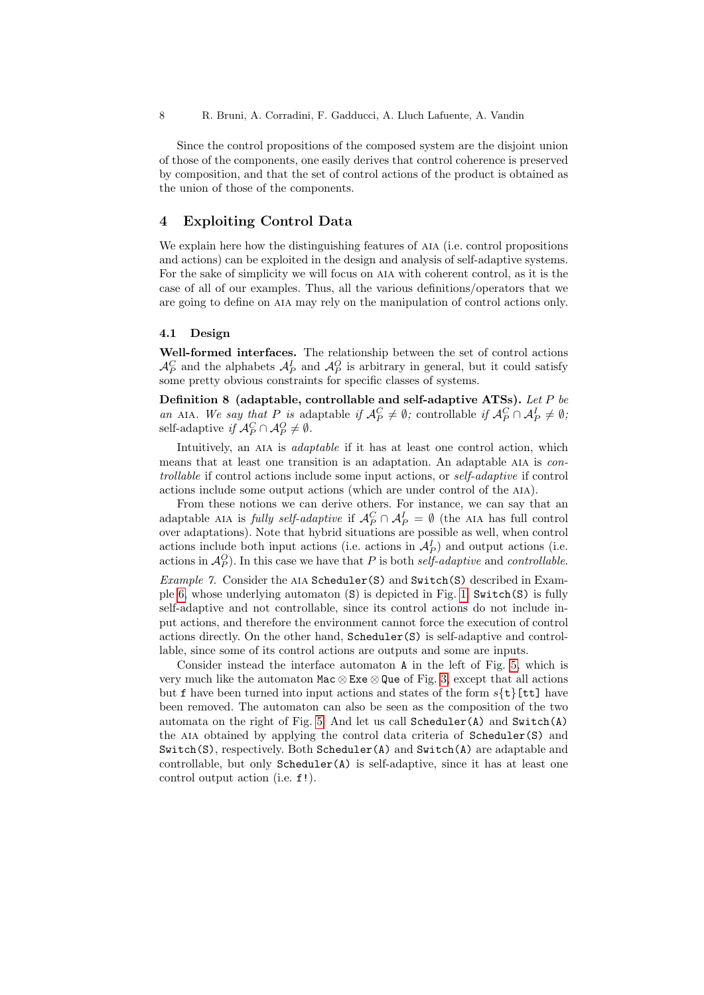Since the control propositions of the composed system are the disjoint union of those of the components, one easily derives that control coherence is preserved by composition, and that the set of control actions of the product is obtained as the union of those of the components.

# <span id="page-7-0"></span>4 Exploiting Control Data

We explain here how the distinguishing features of AIA (i.e. control propositions and actions) can be exploited in the design and analysis of self-adaptive systems. For the sake of simplicity we will focus on AIA with coherent control, as it is the case of all of our examples. Thus, all the various definitions/operators that we are going to define on AIA may rely on the manipulation of control actions only.

#### 4.1 Design

Well-formed interfaces. The relationship between the set of control actions  $\mathcal{A}_P^C$  and the alphabets  $\mathcal{A}_P^I$  and  $\mathcal{A}_P^O$  is arbitrary in general, but it could satisfy some pretty obvious constraints for specific classes of systems.

Definition 8 (adaptable, controllable and self-adaptive ATSs). Let  $P$  be an AIA. We say that P is adaptable if  $\mathcal{A}_P^C \neq \emptyset$ ; controllable if  $\mathcal{A}_P^C \cap \mathcal{A}_P^I \neq \emptyset$ ; self-adaptive if  $\mathcal{A}_P^C \cap \mathcal{A}_P^O \neq \emptyset$ .

Intuitively, an AIA is *adaptable* if it has at least one control action, which means that at least one transition is an adaptation. An adaptable AIA is controllable if control actions include some input actions, or self-adaptive if control actions include some output actions (which are under control of the AIA).

From these notions we can derive others. For instance, we can say that an adaptable aia is *fully self-adaptive* if  $\mathcal{A}_P^C \cap \mathcal{A}_P^I = \emptyset$  (the aia has full control over adaptations). Note that hybrid situations are possible as well, when control actions include both input actions (i.e. actions in  $\mathcal{A}_P^I$ ) and output actions (i.e. actions in  $\mathcal{A}_{P}^{O}$ ). In this case we have that P is both self-adaptive and controllable.

Example 7. Consider the aia Scheduler(S) and Switch(S) described in Example [6,](#page-5-2) whose underlying automaton (S) is depicted in Fig. [1.](#page-1-0) Switch(S) is fully self-adaptive and not controllable, since its control actions do not include input actions, and therefore the environment cannot force the execution of control actions directly. On the other hand, Scheduler(S) is self-adaptive and controllable, since some of its control actions are outputs and some are inputs.

Consider instead the interface automaton A in the left of Fig. [5,](#page-8-0) which is very much like the automaton Mac  $\otimes$  Exe  $\otimes$  Que of Fig. [3,](#page-4-0) except that all actions but f have been turned into input actions and states of the form  $s\{\mathbf{t}\}\$  [tt] have been removed. The automaton can also be seen as the composition of the two automata on the right of Fig. [5.](#page-8-0) And let us call  $Scheduler(A)$  and  $Switch(A)$ the aia obtained by applying the control data criteria of Scheduler(S) and Switch(S), respectively. Both Scheduler(A) and Switch(A) are adaptable and controllable, but only  $Scheduler(A)$  is self-adaptive, since it has at least one control output action (i.e. f!).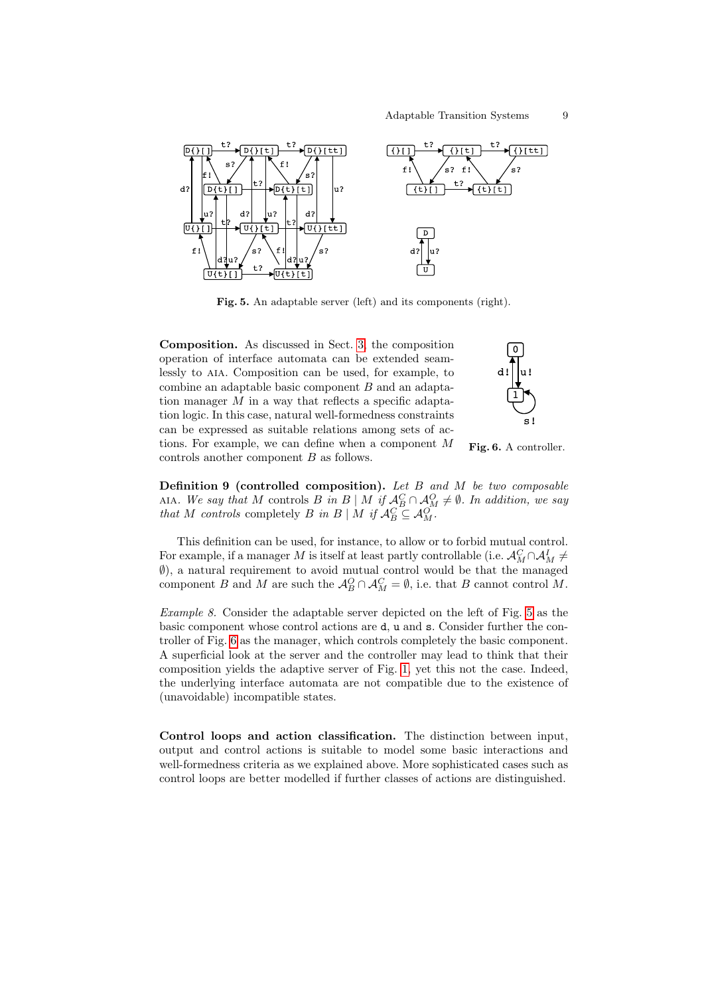

<span id="page-8-0"></span>Fig. 5. An adaptable server (left) and its components (right).

Composition. As discussed in Sect. [3,](#page-5-0) the composition operation of interface automata can be extended seamlessly to AIA. Composition can be used, for example, to combine an adaptable basic component B and an adaptation manager  $M$  in a way that reflects a specific adaptation logic. In this case, natural well-formedness constraints can be expressed as suitable relations among sets of actions. For example, we can define when a component M controls another component B as follows.



<span id="page-8-1"></span>Fig. 6. A controller.

**Definition 9 (controlled composition).** Let  $B$  and  $M$  be two composable AIA. We say that M controls B in B | M if  $\mathcal{A}_{B}^C \cap \mathcal{A}_{M}^O \neq \emptyset$ . In addition, we say that M controls completely B in B | M if  $\mathcal{A}_{B}^{C} \subseteq \mathcal{A}_{M}^{O}$ .

This definition can be used, for instance, to allow or to forbid mutual control. For example, if a manager  $M$  is itself at least partly controllable (i.e.  $\mathcal{A}_{M}^{C}\cap\mathcal{A}_{M}^{I}\neq$ ∅), a natural requirement to avoid mutual control would be that the managed component B and M are such the  $\mathcal{A}_{B}^{O} \cap \mathcal{A}_{M}^{C} = \emptyset$ , i.e. that B cannot control M.

Example 8. Consider the adaptable server depicted on the left of Fig. [5](#page-8-0) as the basic component whose control actions are d, u and s. Consider further the controller of Fig. [6](#page-8-1) as the manager, which controls completely the basic component. A superficial look at the server and the controller may lead to think that their composition yields the adaptive server of Fig. [1,](#page-1-0) yet this not the case. Indeed, the underlying interface automata are not compatible due to the existence of (unavoidable) incompatible states.

Control loops and action classification. The distinction between input, output and control actions is suitable to model some basic interactions and well-formedness criteria as we explained above. More sophisticated cases such as control loops are better modelled if further classes of actions are distinguished.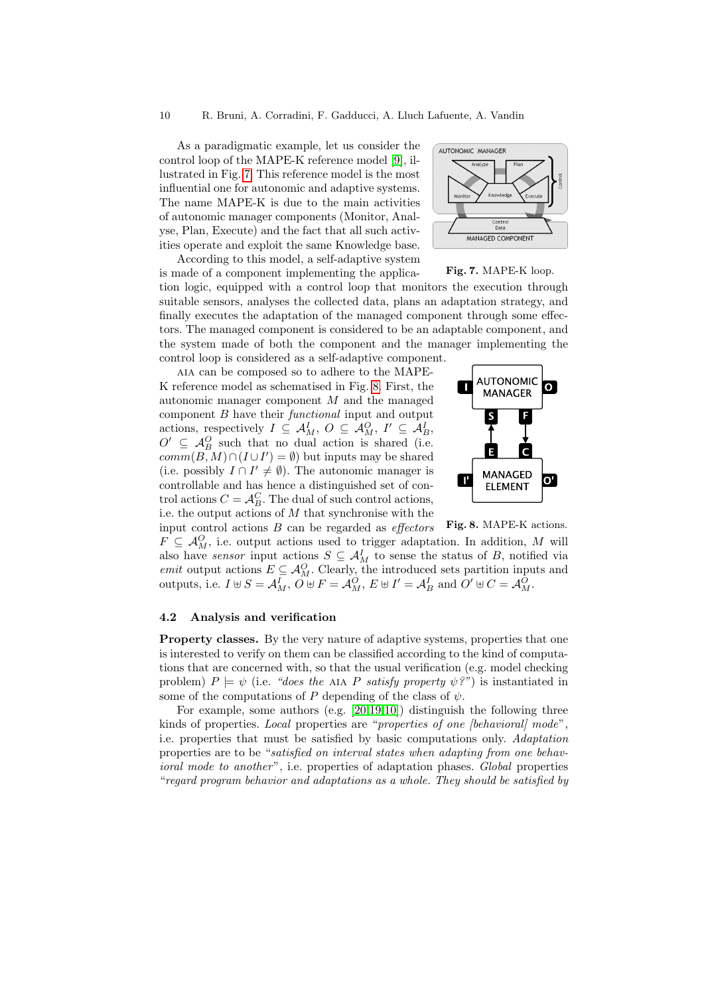As a paradigmatic example, let us consider the control loop of the MAPE-K reference model [\[9\]](#page-15-8), illustrated in Fig. [7.](#page-9-0) This reference model is the most influential one for autonomic and adaptive systems. The name MAPE-K is due to the main activities of autonomic manager components (Monitor, Analyse, Plan, Execute) and the fact that all such activities operate and exploit the same Knowledge base.

According to this model, a self-adaptive system is made of a component implementing the applica-



## <span id="page-9-0"></span>Fig. 7. MAPE-K loop.

tion logic, equipped with a control loop that monitors the execution through suitable sensors, analyses the collected data, plans an adaptation strategy, and finally executes the adaptation of the managed component through some effectors. The managed component is considered to be an adaptable component, and the system made of both the component and the manager implementing the control loop is considered as a self-adaptive component.

AIA can be composed so to adhere to the MAPE-K reference model as schematised in Fig. [8.](#page-9-1) First, the autonomic manager component M and the managed component B have their functional input and output actions, respectively  $I \subseteq \mathcal{A}_M^I$ ,  $O \subseteq \mathcal{A}_M^O$ ,  $I' \subseteq \mathcal{A}_B^I$ ,  $O' \subseteq \mathcal{A}_{B}^{O}$  such that no dual action is shared (i.e.  $comm(B, M) \cap (I \cup I') = \emptyset$  but inputs may be shared (i.e. possibly  $I \cap I' \neq \emptyset$ ). The autonomic manager is controllable and has hence a distinguished set of control actions  $C = \mathcal{A}_B^C$ . The dual of such control actions, i.e. the output actions of  $M$  that synchronise with the

<span id="page-9-1"></span>

Fig. 8. MAPE-K actions. input control actions  $B$  can be regarded as *effectors*  $F \subseteq \mathcal{A}_{M}^{\mathcal{O}}$ , i.e. output actions used to trigger adaptation. In addition, M will also have *sensor* input actions  $S \subseteq A_M^I$  to sense the status of B, notified via emit output actions  $E \subseteq \mathcal{A}_{M}^{\mathcal{O}}$ . Clearly, the introduced sets partition inputs and outputs, i.e.  $I \uplus S = \mathcal{A}_M^I$ ,  $O \uplus F = \mathcal{A}_M^O$ ,  $E \uplus I' = \mathcal{A}_B^I$  and  $O' \uplus C = \mathcal{A}_M^O$ .

#### 4.2 Analysis and verification

<span id="page-9-2"></span>Property classes. By the very nature of adaptive systems, properties that one is interested to verify on them can be classified according to the kind of computations that are concerned with, so that the usual verification (e.g. model checking problem)  $P \models \psi$  (i.e. "does the AIA P satisfy property  $\psi$ ?") is instantiated in some of the computations of P depending of the class of  $\psi$ .

For example, some authors (e.g. [\[20,](#page-15-9)[19](#page-15-10)[,10\]](#page-15-11)) distinguish the following three kinds of properties. Local properties are "properties of one [behavioral] mode", i.e. properties that must be satisfied by basic computations only. Adaptation properties are to be "satisfied on interval states when adapting from one behavioral mode to another", i.e. properties of adaptation phases. Global properties "regard program behavior and adaptations as a whole. They should be satisfied by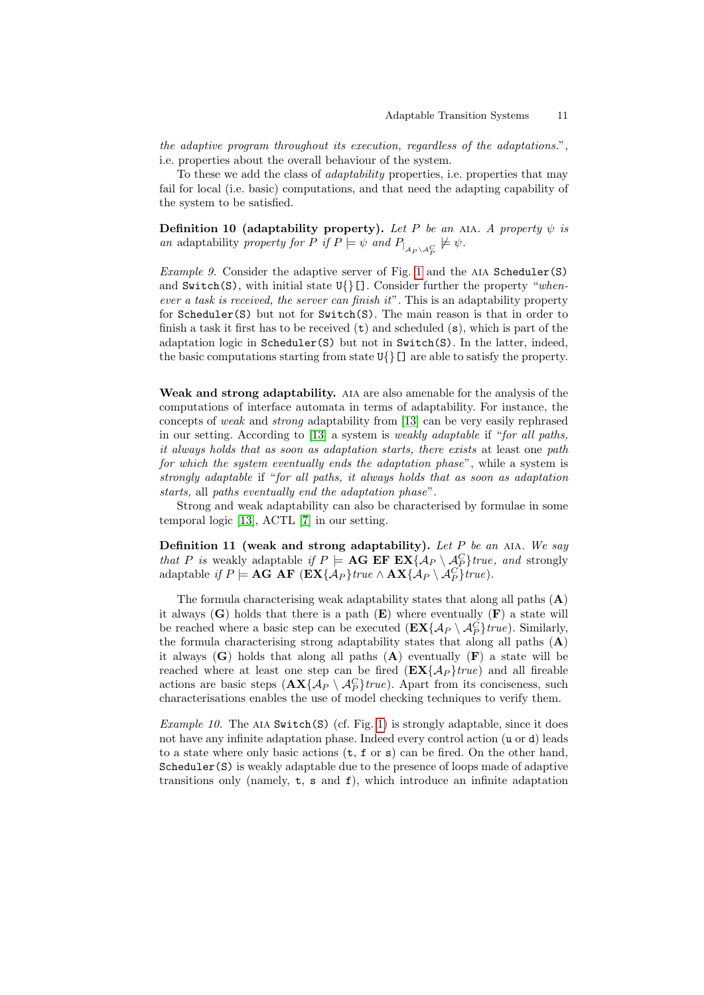the adaptive program throughout its execution, regardless of the adaptations.", i.e. properties about the overall behaviour of the system.

To these we add the class of adaptability properties, i.e. properties that may fail for local (i.e. basic) computations, and that need the adapting capability of the system to be satisfied.

**Definition 10 (adaptability property).** Let P be an AIA. A property  $\psi$  is an adaptability property for P if  $P \models \psi$  and  $P|_{A_P \setminus A_P^C} \not\models \psi$ .

Example 9. Consider the adaptive server of Fig. [1](#page-1-0) and the aia Scheduler(S) and Switch(S), with initial state  $U\{\}$ . Consider further the property "whenever a task is received, the server can finish it". This is an adaptability property for Scheduler(S) but not for Switch(S). The main reason is that in order to finish a task it first has to be received  $(t)$  and scheduled  $(s)$ , which is part of the adaptation logic in Scheduler(S) but not in Switch(S). In the latter, indeed, the basic computations starting from state  $U\{\}$ . In are able to satisfy the property.

<span id="page-10-0"></span>Weak and strong adaptability. AIA are also amenable for the analysis of the computations of interface automata in terms of adaptability. For instance, the concepts of weak and strong adaptability from [\[13\]](#page-15-12) can be very easily rephrased in our setting. According to [\[13\]](#page-15-12) a system is weakly adaptable if "for all paths, it always holds that as soon as adaptation starts, there exists at least one path for which the system eventually ends the adaptation phase", while a system is strongly adaptable if "for all paths, it always holds that as soon as adaptation starts, all paths eventually end the adaptation phase".

Strong and weak adaptability can also be characterised by formulae in some temporal logic [\[13\]](#page-15-12), ACTL [\[7\]](#page-15-13) in our setting.

Definition 11 (weak and strong adaptability). Let  $P$  be an AIA. We say that P is weakly adaptable if  $P \models \textbf{AG EF EX} \{ \mathcal{A}_P \setminus \mathcal{A}_P^C \}$ true, and strongly adaptable if  $P \models \textbf{AG AF}{}(\textbf{EX}\lbrace \mathcal{A}_P \rbrace true \land \textbf{AX}\lbrace \mathcal{A}_P \setminus \mathcal{A}_P^C \rbrace true)$ .

The formula characterising weak adaptability states that along all paths (A) it always  $(G)$  holds that there is a path  $(E)$  where eventually  $(F)$  a state will be reached where a basic step can be executed  $(\mathbf{EX}\{\mathcal{A}_P \setminus \mathcal{A}_P^C\}$ *true*). Similarly, the formula characterising strong adaptability states that along all paths  $(A)$ it always  $(G)$  holds that along all paths  $(A)$  eventually  $(F)$  a state will be reached where at least one step can be fired  $(EX{A<sub>P</sub>}true)$  and all fireable actions are basic steps  $(\mathbf{AX}\{\mathcal{A}_P \setminus \mathcal{A}_P^C\}true)$ . Apart from its conciseness, such characterisations enables the use of model checking techniques to verify them.

Example 10. The AIA Switch(S) (cf. Fig. [1\)](#page-1-0) is strongly adaptable, since it does not have any infinite adaptation phase. Indeed every control action (u or d) leads to a state where only basic actions  $(t, f \text{ or } s)$  can be fired. On the other hand, Scheduler(S) is weakly adaptable due to the presence of loops made of adaptive transitions only (namely, t, s and f), which introduce an infinite adaptation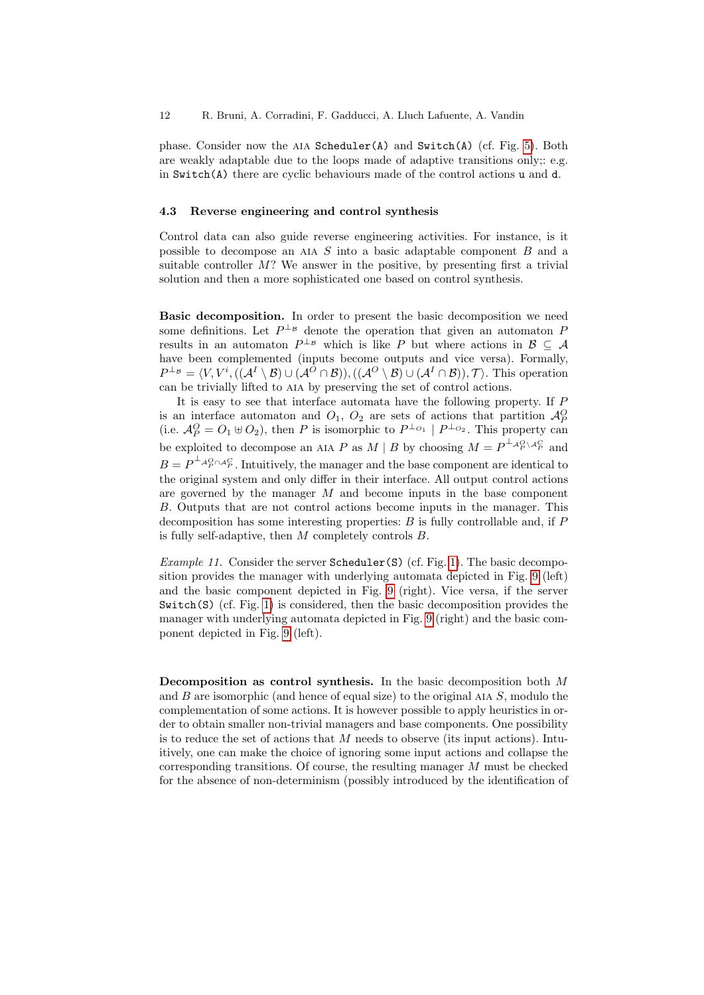phase. Consider now the AIA Scheduler(A) and Switch(A) (cf. Fig. [5\)](#page-8-0). Both are weakly adaptable due to the loops made of adaptive transitions only;: e.g. in Switch(A) there are cyclic behaviours made of the control actions u and d.

#### 4.3 Reverse engineering and control synthesis

Control data can also guide reverse engineering activities. For instance, is it possible to decompose an AIA  $S$  into a basic adaptable component  $B$  and a suitable controller  $M$ ? We answer in the positive, by presenting first a trivial solution and then a more sophisticated one based on control synthesis.

Basic decomposition. In order to present the basic decomposition we need some definitions. Let  $P^{\perp_B}$  denote the operation that given an automaton F results in an automaton  $P^{\perp_B}$  which is like P but where actions in  $\mathcal{B} \subseteq \mathcal{A}$ have been complemented (inputs become outputs and vice versa). Formally,  $P^{\perp_{\mathcal{B}}} = \langle V, V^i, ((\mathcal{A}^I \setminus \mathcal{B}) \cup (\mathcal{A}^O \cap \mathcal{B})), ((\mathcal{A}^O \setminus \mathcal{B}) \cup (\mathcal{A}^I \cap \mathcal{B})), \mathcal{T} \rangle$ . This operation can be trivially lifted to aia by preserving the set of control actions.

It is easy to see that interface automata have the following property. If P is an interface automaton and  $O_1$ ,  $O_2$  are sets of actions that partition  $\mathcal{A}_P^O$ (i.e.  $\mathcal{A}_P^O = O_1 \oplus O_2$ ), then P is isomorphic to  $P^{\perp_{O_1}} \mid P^{\perp_{O_2}}$ . This property can be exploited to decompose an AIA P as  $M \mid B$  by choosing  $M = P^{\perp_{\mathcal{A}_{P}^{\mathcal{O}}\setminus\mathcal{A}_{P}^{\mathcal{C}}}}$  and  $B = P^{-\frac{1}{2} A_P^O \cap A_P^C}$ . Intuitively, the manager and the base component are identical to the original system and only differ in their interface. All output control actions are governed by the manager  $M$  and become inputs in the base component B. Outputs that are not control actions become inputs in the manager. This decomposition has some interesting properties:  $B$  is fully controllable and, if  $P$ is fully self-adaptive, then  $M$  completely controls  $B$ .

*Example 11.* Consider the server  $S$ cheduler $(S)$  (cf. Fig. [1\)](#page-1-0). The basic decomposition provides the manager with underlying automata depicted in Fig. [9](#page-12-0) (left) and the basic component depicted in Fig. [9](#page-12-0) (right). Vice versa, if the server Switch(S) (cf. Fig. [1\)](#page-1-0) is considered, then the basic decomposition provides the manager with underlying automata depicted in Fig. [9](#page-12-0) (right) and the basic component depicted in Fig. [9](#page-12-0) (left).

**Decomposition as control synthesis.** In the basic decomposition both  $M$ and  $B$  are isomorphic (and hence of equal size) to the original AIA  $S$ , modulo the complementation of some actions. It is however possible to apply heuristics in order to obtain smaller non-trivial managers and base components. One possibility is to reduce the set of actions that  $M$  needs to observe (its input actions). Intuitively, one can make the choice of ignoring some input actions and collapse the corresponding transitions. Of course, the resulting manager M must be checked for the absence of non-determinism (possibly introduced by the identification of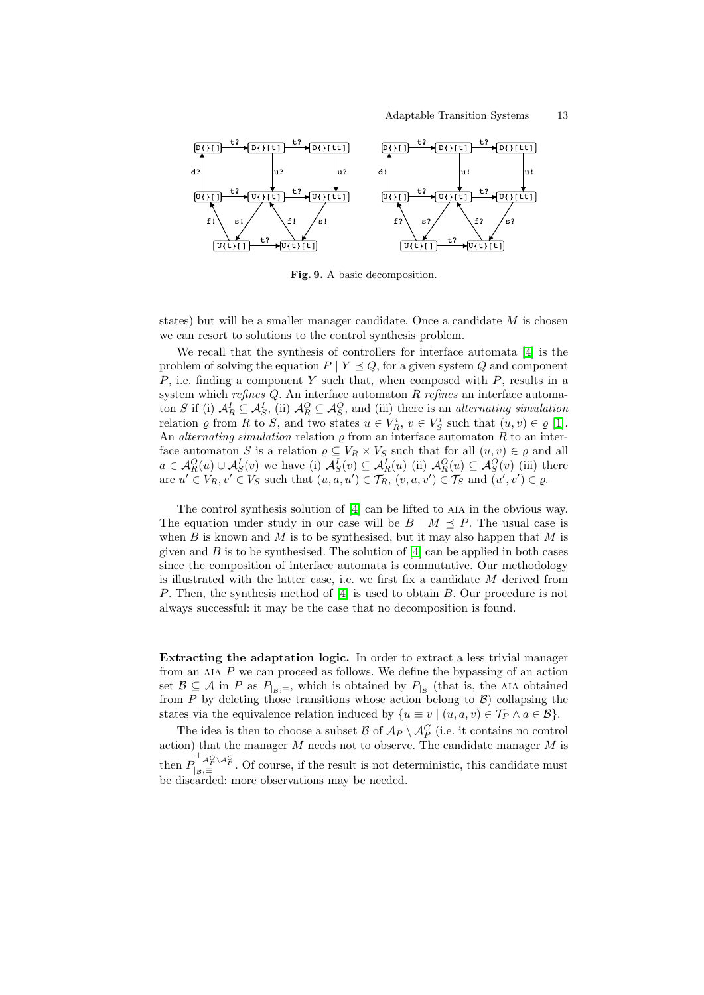

<span id="page-12-0"></span>Fig. 9. A basic decomposition.

states) but will be a smaller manager candidate. Once a candidate  $M$  is chosen we can resort to solutions to the control synthesis problem.

We recall that the synthesis of controllers for interface automata [\[4\]](#page-15-14) is the problem of solving the equation  $P | Y \preceq Q$ , for a given system Q and component  $P$ , i.e. finding a component Y such that, when composed with  $P$ , results in a system which refines  $Q$ . An interface automaton  $R$  refines an interface automaton S if (i)  $A_R^I \subseteq A_S^I$ , (ii)  $A_R^O \subseteq A_S^O$ , and (iii) there is an *alternating simulation* relation  $\varrho$  from R to S, and two states  $u \in V_R^i$ ,  $v \in V_S^i$  such that  $(u, v) \in \varrho$  [\[1\]](#page-14-0). An alternating simulation relation  $\rho$  from an interface automaton R to an interface automaton S is a relation  $\varrho \subseteq V_R \times V_S$  such that for all  $(u, v) \in \varrho$  and all  $a \in \mathcal{A}_{R}^O(u) \cup \mathcal{A}_{S}^I(v)$  we have (i)  $\mathcal{A}_{S}^I(v) \subseteq \mathcal{A}_{R}^I(u)$  (ii)  $\mathcal{A}_{R}^O(u) \subseteq \mathcal{A}_{S}^O(v)$  (iii) there are  $u' \in V_R$ ,  $v' \in V_S$  such that  $(u, a, u') \in \mathcal{T}_R$ ,  $(v, a, v') \in \mathcal{T}_S$  and  $(u', v') \in \varrho$ .

The control synthesis solution of [\[4\]](#page-15-14) can be lifted to aia in the obvious way. The equation under study in our case will be  $B \mid M \preceq P$ . The usual case is when B is known and M is to be synthesised, but it may also happen that M is given and  $B$  is to be synthesised. The solution of  $[4]$  can be applied in both cases since the composition of interface automata is commutative. Our methodology is illustrated with the latter case, i.e. we first fix a candidate  $M$  derived from P. Then, the synthesis method of [\[4\]](#page-15-14) is used to obtain B. Our procedure is not always successful: it may be the case that no decomposition is found.

Extracting the adaptation logic. In order to extract a less trivial manager from an AIA  $P$  we can proceed as follows. We define the bypassing of an action set  $\mathcal{B} \subseteq \mathcal{A}$  in P as  $P_{|\mathcal{B}, \equiv}$ , which is obtained by  $P_{|\mathcal{B}|}$  (that is, the AIA obtained from  $P$  by deleting those transitions whose action belong to  $B$ ) collapsing the states via the equivalence relation induced by  $\{u \equiv v \mid (u, a, v) \in \mathcal{T}_P \land a \in \mathcal{B}\}.$ 

The idea is then to choose a subset  $\mathcal{B}$  of  $\mathcal{A}_P \setminus \mathcal{A}_P^C$  (i.e. it contains no control action) that the manager  $M$  needs not to observe. The candidate manager  $M$  is then  $P_{|_{\mathcal{B}},\equiv}^{\perp_{\mathcal{A}_{\mathcal{P}}^{\mathcal{C}}\setminus\mathcal{A}_{\mathcal{P}}^{\mathcal{C}}}}$ . Of course, if the result is not deterministic, this candidate must be discarded: more observations may be needed.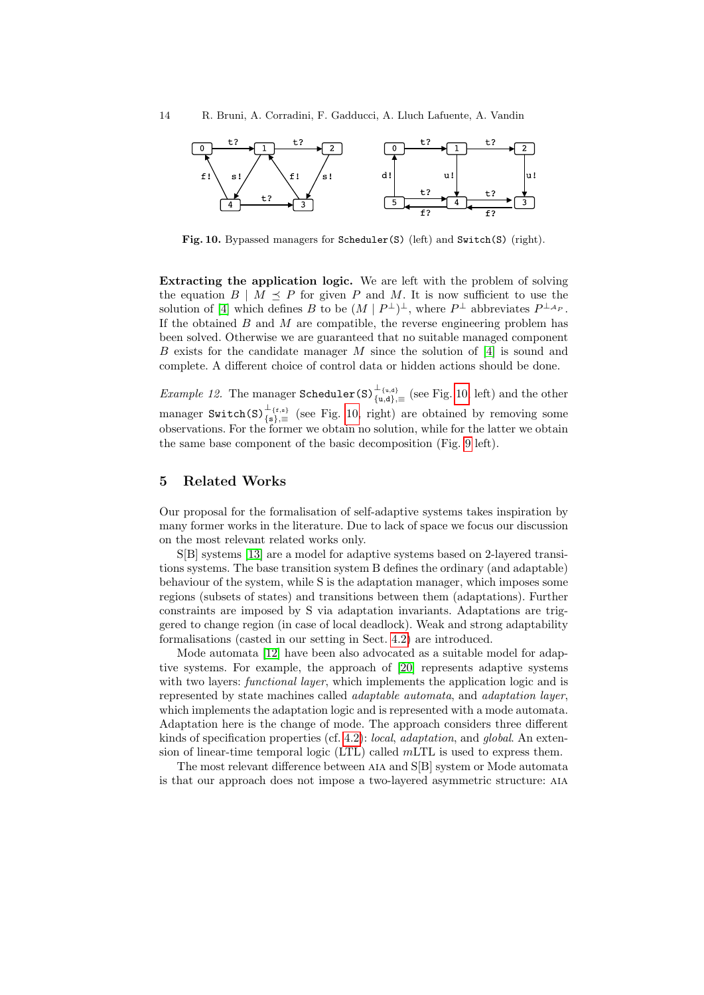

<span id="page-13-1"></span>Fig. 10. Bypassed managers for Scheduler(S) (left) and Switch(S) (right).

Extracting the application logic. We are left with the problem of solving the equation  $B \mid M \prec P$  for given P and M. It is now sufficient to use the solution of [\[4\]](#page-15-14) which defines B to be  $(M | P^{\perp})^{\perp}$ , where  $P^{\perp}$  abbreviates  $P^{\perp_{A_P}}$ . If the obtained  $B$  and  $M$  are compatible, the reverse engineering problem has been solved. Otherwise we are guaranteed that no suitable managed component B exists for the candidate manager M since the solution of [\[4\]](#page-15-14) is sound and complete. A different choice of control data or hidden actions should be done.

*Example 12.* The manager Scheduler (S)  $\frac{\downarrow_{\{u, d\}}}{\{u, d\}}$  (see Fig. [10,](#page-13-1) left) and the other manager Switch(S) $\frac{\perp_{\{f,s\}}}{\{s\},\equiv}$  (see Fig. [10,](#page-13-1) right) are obtained by removing some observations. For the former we obtain no solution, while for the latter we obtain the same base component of the basic decomposition (Fig. [9](#page-12-0) left).

## <span id="page-13-0"></span>5 Related Works

Our proposal for the formalisation of self-adaptive systems takes inspiration by many former works in the literature. Due to lack of space we focus our discussion on the most relevant related works only.

S[B] systems [\[13\]](#page-15-12) are a model for adaptive systems based on 2-layered transitions systems. The base transition system B defines the ordinary (and adaptable) behaviour of the system, while S is the adaptation manager, which imposes some regions (subsets of states) and transitions between them (adaptations). Further constraints are imposed by S via adaptation invariants. Adaptations are triggered to change region (in case of local deadlock). Weak and strong adaptability formalisations (casted in our setting in Sect. [4.2\)](#page-10-0) are introduced.

Mode automata [\[12\]](#page-15-15) have been also advocated as a suitable model for adaptive systems. For example, the approach of [\[20\]](#page-15-9) represents adaptive systems with two layers: *functional layer*, which implements the application logic and is represented by state machines called adaptable automata, and adaptation layer, which implements the adaptation logic and is represented with a mode automata. Adaptation here is the change of mode. The approach considers three different kinds of specification properties (cf. [4.2\)](#page-9-2): local, adaptation, and global. An extension of linear-time temporal logic (LTL) called mLTL is used to express them.

The most relevant difference between aia and S[B] system or Mode automata is that our approach does not impose a two-layered asymmetric structure: AIA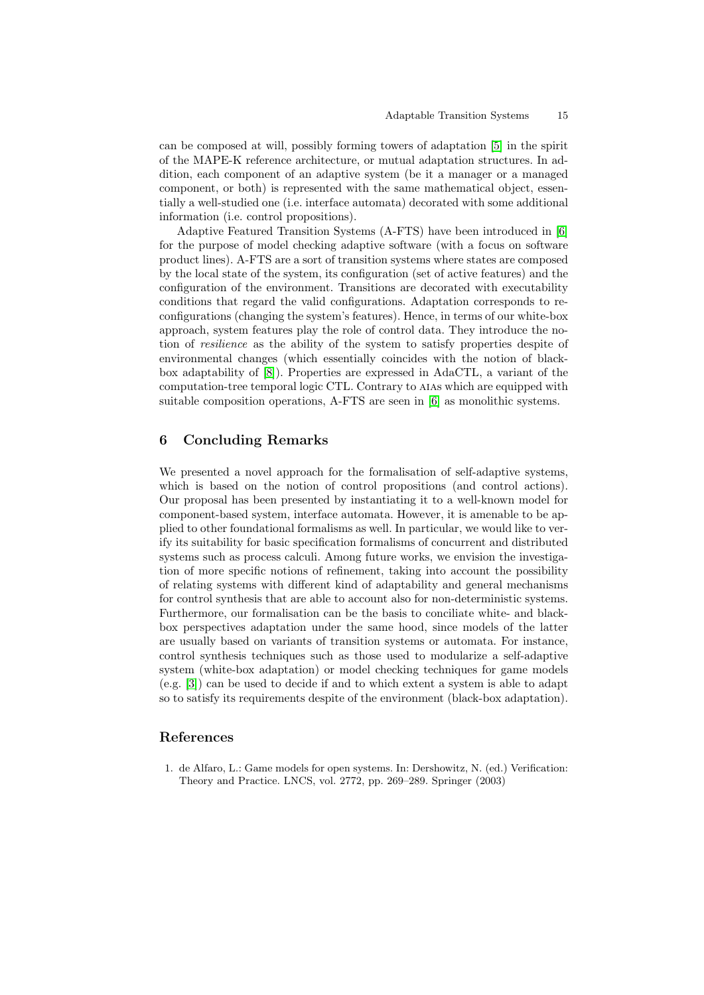can be composed at will, possibly forming towers of adaptation [\[5\]](#page-15-5) in the spirit of the MAPE-K reference architecture, or mutual adaptation structures. In addition, each component of an adaptive system (be it a manager or a managed component, or both) is represented with the same mathematical object, essentially a well-studied one (i.e. interface automata) decorated with some additional information (i.e. control propositions).

Adaptive Featured Transition Systems (A-FTS) have been introduced in [\[6\]](#page-15-16) for the purpose of model checking adaptive software (with a focus on software product lines). A-FTS are a sort of transition systems where states are composed by the local state of the system, its configuration (set of active features) and the configuration of the environment. Transitions are decorated with executability conditions that regard the valid configurations. Adaptation corresponds to reconfigurations (changing the system's features). Hence, in terms of our white-box approach, system features play the role of control data. They introduce the notion of resilience as the ability of the system to satisfy properties despite of environmental changes (which essentially coincides with the notion of blackbox adaptability of [\[8\]](#page-15-17)). Properties are expressed in AdaCTL, a variant of the computation-tree temporal logic CTL. Contrary to aias which are equipped with suitable composition operations, A-FTS are seen in [\[6\]](#page-15-16) as monolithic systems.

## 6 Concluding Remarks

We presented a novel approach for the formalisation of self-adaptive systems, which is based on the notion of control propositions (and control actions). Our proposal has been presented by instantiating it to a well-known model for component-based system, interface automata. However, it is amenable to be applied to other foundational formalisms as well. In particular, we would like to verify its suitability for basic specification formalisms of concurrent and distributed systems such as process calculi. Among future works, we envision the investigation of more specific notions of refinement, taking into account the possibility of relating systems with different kind of adaptability and general mechanisms for control synthesis that are able to account also for non-deterministic systems. Furthermore, our formalisation can be the basis to conciliate white- and blackbox perspectives adaptation under the same hood, since models of the latter are usually based on variants of transition systems or automata. For instance, control synthesis techniques such as those used to modularize a self-adaptive system (white-box adaptation) or model checking techniques for game models (e.g. [\[3\]](#page-15-18)) can be used to decide if and to which extent a system is able to adapt so to satisfy its requirements despite of the environment (black-box adaptation).

## References

<span id="page-14-0"></span>1. de Alfaro, L.: Game models for open systems. In: Dershowitz, N. (ed.) Verification: Theory and Practice. LNCS, vol. 2772, pp. 269–289. Springer (2003)